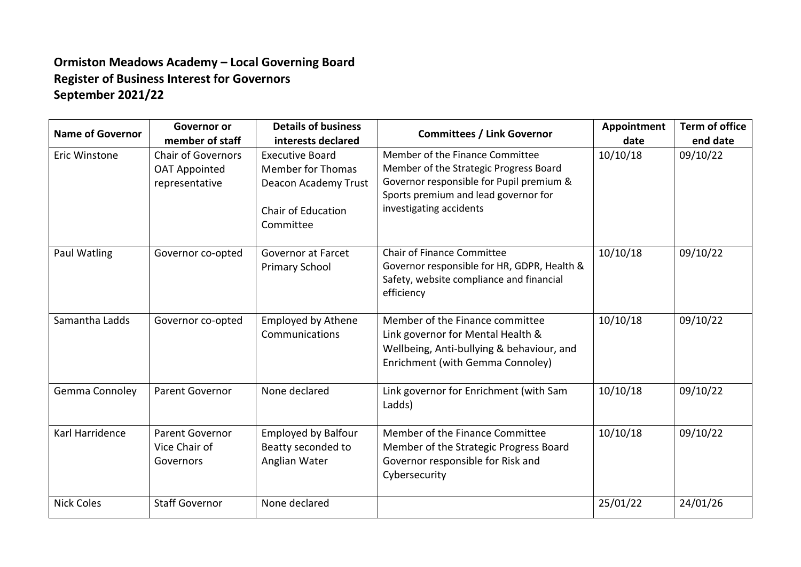## **Ormiston Meadows Academy – Local Governing Board Register of Business Interest for Governors September 2021/22**

| <b>Name of Governor</b> | Governor or<br>member of staff                                      | <b>Details of business</b><br>interests declared                                                                     | <b>Committees / Link Governor</b>                                                                                                                                                        | Appointment<br>date | <b>Term of office</b><br>end date |
|-------------------------|---------------------------------------------------------------------|----------------------------------------------------------------------------------------------------------------------|------------------------------------------------------------------------------------------------------------------------------------------------------------------------------------------|---------------------|-----------------------------------|
| Eric Winstone           | <b>Chair of Governors</b><br><b>OAT Appointed</b><br>representative | <b>Executive Board</b><br><b>Member for Thomas</b><br>Deacon Academy Trust<br><b>Chair of Education</b><br>Committee | Member of the Finance Committee<br>Member of the Strategic Progress Board<br>Governor responsible for Pupil premium &<br>Sports premium and lead governor for<br>investigating accidents | 10/10/18            | 09/10/22                          |
| Paul Watling            | Governor co-opted                                                   | <b>Governor at Farcet</b><br><b>Primary School</b>                                                                   | <b>Chair of Finance Committee</b><br>Governor responsible for HR, GDPR, Health &<br>Safety, website compliance and financial<br>efficiency                                               | 10/10/18            | 09/10/22                          |
| Samantha Ladds          | Governor co-opted                                                   | <b>Employed by Athene</b><br>Communications                                                                          | Member of the Finance committee<br>Link governor for Mental Health &<br>Wellbeing, Anti-bullying & behaviour, and<br>Enrichment (with Gemma Connoley)                                    | 10/10/18            | 09/10/22                          |
| Gemma Connoley          | <b>Parent Governor</b>                                              | None declared                                                                                                        | Link governor for Enrichment (with Sam<br>Ladds)                                                                                                                                         | 10/10/18            | 09/10/22                          |
| Karl Harridence         | <b>Parent Governor</b><br>Vice Chair of<br>Governors                | <b>Employed by Balfour</b><br>Beatty seconded to<br>Anglian Water                                                    | Member of the Finance Committee<br>Member of the Strategic Progress Board<br>Governor responsible for Risk and<br>Cybersecurity                                                          | 10/10/18            | 09/10/22                          |
| <b>Nick Coles</b>       | <b>Staff Governor</b>                                               | None declared                                                                                                        |                                                                                                                                                                                          | 25/01/22            | 24/01/26                          |